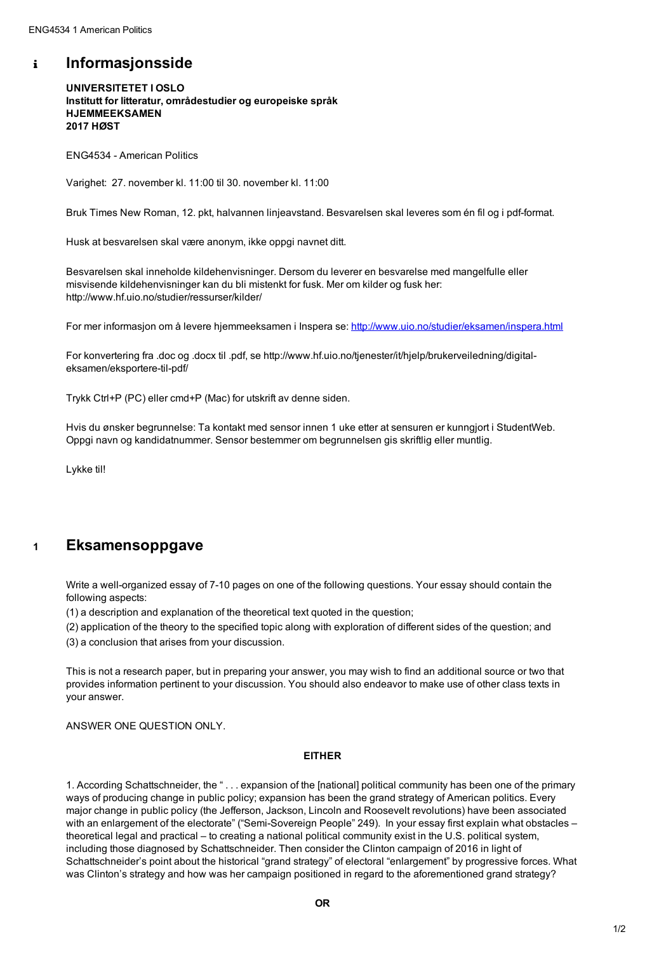## **Informasjonsside**  $\mathbf{i}$

**UNIVERSITETET I OSLO Institutt for litteratur, områdestudier og europeiske språk HJEMMEEKSAMEN 2017 HØST**

ENG4534 - American Politics

Varighet: 27. november kl. 11:00 til 30. november kl. 11:00

Bruk Times New Roman, 12. pkt, halvannen linjeavstand. Besvarelsen skal leveres som én fil og i pdf-format.

Husk at besvarelsen skal være anonym, ikke oppgi navnet ditt.

Besvarelsen skal inneholde kildehenvisninger. Dersom du leverer en besvarelse med mangelfulle eller misvisende kildehenvisninger kan du bli mistenkt for fusk. Mer om kilder og fusk her: http://www.hf.uio.no/studier/ressurser/kilder/

For mer informasjon om å levere hjemmeeksamen i Inspera se: <http://www.uio.no/studier/eksamen/inspera.html>

For konvertering fra .doc og .docx til .pdf, se http://www.hf.uio.no/tjenester/it/hjelp/brukerveiledning/digitaleksamen/eksportere-til-pdf/

Trykk Ctrl+P (PC) eller cmd+P (Mac) for utskrift av denne siden.

Hvis du ønsker begrunnelse: Ta kontakt med sensor innen 1 uke etter at sensuren er kunngjort i StudentWeb. Oppgi navn og kandidatnummer. Sensor bestemmer om begrunnelsen gis skriftlig eller muntlig.

Lykke til!

Write a well-organized essay of 7-10 pages on one of the following questions. Your essay should contain the following aspects:

(1) a description and explanation of the theoretical text quoted in the question;

(2) application of the theory to the specified topic along with exploration of different sides of the question; and

(3) a conclusion that arises from your discussion.

This is not a research paper, but in preparing your answer, you may wish to find an additional source or two that provides information pertinent to your discussion. You should also endeavor to make use of other class texts in your answer.

## ANSWER ONE QUESTION ONLY.

## **EITHER**

1. According Schattschneider, the " . . . expansion of the [national] political community has been one of the primary ways of producing change in public policy; expansion has been the grand strategy of American politics. Every major change in public policy (the Jefferson, Jackson, Lincoln and Roosevelt revolutions) have been associated with an enlargement of the electorate" ("Semi-Sovereign People" 249). In your essay first explain what obstacles theoretical legal and practical – to creating a national political community exist in the U.S. political system, including those diagnosed by Schattschneider. Then consider the Clinton campaign of 2016 in light of Schattschneider's point about the historical "grand strategy" of electoral "enlargement" by progressive forces. What was Clinton's strategy and how was her campaign positioned in regard to the aforementioned grand strategy?